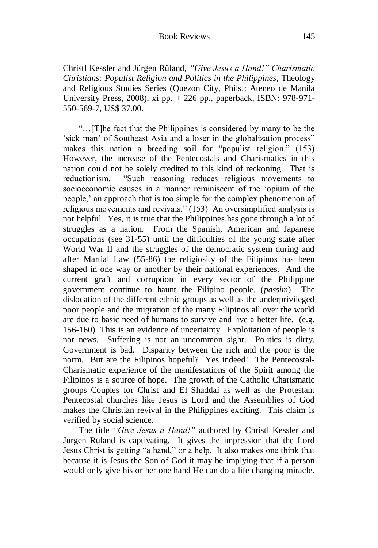Christl Kessler and Jürgen Rüland, *"Give Jesus a Hand!" Charismatic Christians: Populist Religion and Politics in the Philippines*, Theology and Religious Studies Series (Quezon City, Phils.: Ateneo de Manila University Press, 2008), xi pp. + 226 pp., paperback, ISBN: 978-971- 550-569-7, US\$ 37.00.

"…[T]he fact that the Philippines is considered by many to be the "sick man" of Southeast Asia and a loser in the globalization process" makes this nation a breeding soil for "populist religion." (153) However, the increase of the Pentecostals and Charismatics in this nation could not be solely credited to this kind of reckoning. That is reductionism. "Such reasoning reduces religious movements to socioeconomic causes in a manner reminiscent of the "opium of the people," an approach that is too simple for the complex phenomenon of religious movements and revivals." (153) An oversimplified analysis is not helpful. Yes, it is true that the Philippines has gone through a lot of struggles as a nation. From the Spanish, American and Japanese occupations (see 31-55) until the difficulties of the young state after World War II and the struggles of the democratic system during and after Martial Law (55-86) the religiosity of the Filipinos has been shaped in one way or another by their national experiences. And the current graft and corruption in every sector of the Philippine government continue to haunt the Filipino people. (*passim*) The dislocation of the different ethnic groups as well as the underprivileged poor people and the migration of the many Filipinos all over the world are due to basic need of humans to survive and live a better life. (e.g. 156-160) This is an evidence of uncertainty. Exploitation of people is not news. Suffering is not an uncommon sight. Politics is dirty. Government is bad. Disparity between the rich and the poor is the norm. But are the Filipinos hopeful? Yes indeed! The Pentecostal-Charismatic experience of the manifestations of the Spirit among the Filipinos is a source of hope. The growth of the Catholic Charismatic groups Couples for Christ and El Shaddai as well as the Protestant Pentecostal churches like Jesus is Lord and the Assemblies of God makes the Christian revival in the Philippines exciting. This claim is verified by social science.

The title *"Give Jesus a Hand!"* authored by Christl Kessler and Jürgen Rüland is captivating. It gives the impression that the Lord Jesus Christ is getting "a hand," or a help. It also makes one think that because it is Jesus the Son of God it may be implying that if a person would only give his or her one hand He can do a life changing miracle.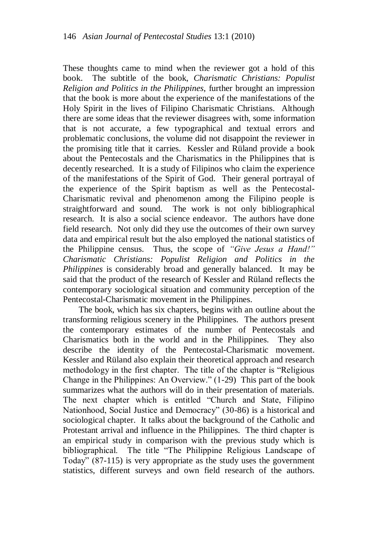These thoughts came to mind when the reviewer got a hold of this book. The subtitle of the book, *Charismatic Christians: Populist Religion and Politics in the Philippines*, further brought an impression that the book is more about the experience of the manifestations of the Holy Spirit in the lives of Filipino Charismatic Christians. Although there are some ideas that the reviewer disagrees with, some information that is not accurate, a few typographical and textual errors and problematic conclusions, the volume did not disappoint the reviewer in the promising title that it carries. Kessler and Rüland provide a book about the Pentecostals and the Charismatics in the Philippines that is decently researched. It is a study of Filipinos who claim the experience of the manifestations of the Spirit of God. Their general portrayal of the experience of the Spirit baptism as well as the Pentecostal-Charismatic revival and phenomenon among the Filipino people is straightforward and sound. The work is not only bibliographical research. It is also a social science endeavor. The authors have done field research. Not only did they use the outcomes of their own survey data and empirical result but the also employed the national statistics of the Philippine census. Thus, the scope of *"Give Jesus a Hand!" Charismatic Christians: Populist Religion and Politics in the Philippines* is considerably broad and generally balanced. It may be said that the product of the research of Kessler and Rüland reflects the contemporary sociological situation and community perception of the Pentecostal-Charismatic movement in the Philippines.

The book, which has six chapters, begins with an outline about the transforming religious scenery in the Philippines. The authors present the contemporary estimates of the number of Pentecostals and Charismatics both in the world and in the Philippines. They also describe the identity of the Pentecostal-Charismatic movement. Kessler and Rüland also explain their theoretical approach and research methodology in the first chapter. The title of the chapter is "Religious Change in the Philippines: An Overview." (1-29) This part of the book summarizes what the authors will do in their presentation of materials. The next chapter which is entitled "Church and State, Filipino Nationhood, Social Justice and Democracy" (30-86) is a historical and sociological chapter. It talks about the background of the Catholic and Protestant arrival and influence in the Philippines. The third chapter is an empirical study in comparison with the previous study which is bibliographical. The title "The Philippine Religious Landscape of Today" (87-115) is very appropriate as the study uses the government statistics, different surveys and own field research of the authors.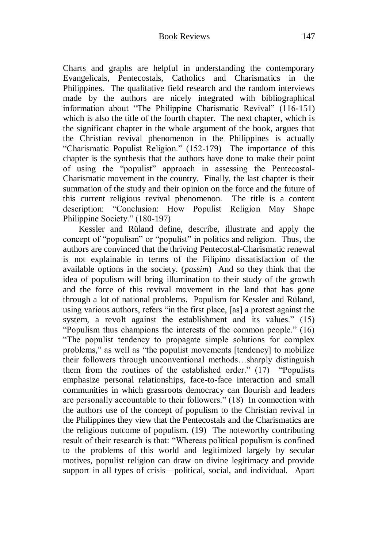Charts and graphs are helpful in understanding the contemporary Evangelicals, Pentecostals, Catholics and Charismatics in the Philippines. The qualitative field research and the random interviews made by the authors are nicely integrated with bibliographical information about "The Philippine Charismatic Revival" (116-151) which is also the title of the fourth chapter. The next chapter, which is the significant chapter in the whole argument of the book, argues that the Christian revival phenomenon in the Philippines is actually "Charismatic Populist Religion." (152-179) The importance of this chapter is the synthesis that the authors have done to make their point of using the "populist" approach in assessing the Pentecostal-Charismatic movement in the country. Finally, the last chapter is their summation of the study and their opinion on the force and the future of this current religious revival phenomenon. The title is a content description: "Conclusion: How Populist Religion May Shape Philippine Society." (180-197)

Kessler and Rüland define, describe, illustrate and apply the concept of "populism" or "populist" in politics and religion. Thus, the authors are convinced that the thriving Pentecostal-Charismatic renewal is not explainable in terms of the Filipino dissatisfaction of the available options in the society. (*passim*) And so they think that the idea of populism will bring illumination to their study of the growth and the force of this revival movement in the land that has gone through a lot of national problems. Populism for Kessler and Rüland, using various authors, refers "in the first place, [as] a protest against the system, a revolt against the establishment and its values." (15) "Populism thus champions the interests of the common people." (16) "The populist tendency to propagate simple solutions for complex problems," as well as "the populist movements [tendency] to mobilize their followers through unconventional methods…sharply distinguish them from the routines of the established order." (17) "Populists emphasize personal relationships, face-to-face interaction and small communities in which grassroots democracy can flourish and leaders are personally accountable to their followers." (18) In connection with the authors use of the concept of populism to the Christian revival in the Philippines they view that the Pentecostals and the Charismatics are the religious outcome of populism. (19) The noteworthy contributing result of their research is that: "Whereas political populism is confined to the problems of this world and legitimized largely by secular motives, populist religion can draw on divine legitimacy and provide support in all types of crisis—political, social, and individual. Apart